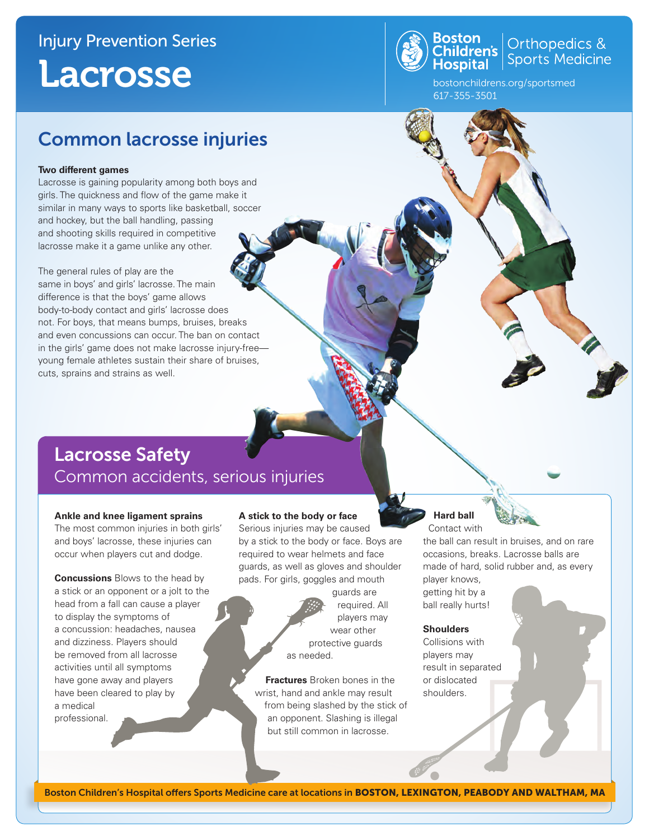## Injury Prevention Series Lacrosse



**Boston**<br>Children's **Children's** Sports Medicine

bostonchildrens.org/sportsmed 617-355-3501

## Common lacrosse injuries

#### **Two different games**

Lacrosse is gaining popularity among both boys and girls. The quickness and flow of the game make it similar in many ways to sports like basketball, soccer and hockey, but the ball handling, passing and shooting skills required in competitive lacrosse make it a game unlike any other.

The general rules of play are the same in boys' and girls' lacrosse. The main difference is that the boys' game allows body-to-body contact and girls' lacrosse does not. For boys, that means bumps, bruises, breaks and even concussions can occur. The ban on contact in the girls' game does not make lacrosse injury-free young female athletes sustain their share of bruises, cuts, sprains and strains as well.

### Lacrosse Safety Common accidents, serious injuries

#### **Ankle and knee ligament sprains**

The most common injuries in both girls' and boys' lacrosse, these injuries can occur when players cut and dodge.

**Concussions** Blows to the head by a stick or an opponent or a jolt to the head from a fall can cause a player to display the symptoms of a concussion: headaches, nausea and dizziness. Players should be removed from all lacrosse activities until all symptoms have gone away and players have been cleared to play by a medical professional.

#### **A stick to the body or face**

Serious injuries may be caused by a stick to the body or face. Boys are required to wear helmets and face guards, as well as gloves and shoulder pads. For girls, goggles and mouth

> guards are required. All players may wear other protective guards as needed.

**Fractures** Broken bones in the wrist, hand and ankle may result from being slashed by the stick of an opponent. Slashing is illegal but still common in lacrosse.

#### **Hard ball** Contact with

the ball can result in bruises, and on rare occasions, breaks. Lacrosse balls are made of hard, solid rubber and, as every player knows,

getting hit by a ball really hurts!

#### **Shoulders**

Collisions with players may result in separated or dislocated shoulders.

Boston Children's Hospital offers Sports Medicine care at locations in BOSTON, LEXINGTON, PEABODY AND WALTHAM, MA